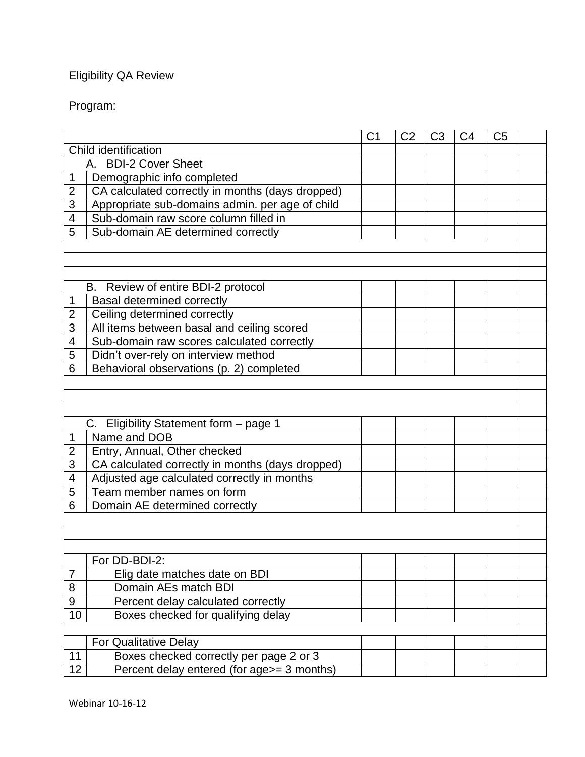## Eligibility QA Review

## Program:

|                      |                                                  | C <sub>1</sub> | C <sub>2</sub> | C <sub>3</sub> | C <sub>4</sub> | C <sub>5</sub> |  |
|----------------------|--------------------------------------------------|----------------|----------------|----------------|----------------|----------------|--|
| Child identification |                                                  |                |                |                |                |                |  |
| A. BDI-2 Cover Sheet |                                                  |                |                |                |                |                |  |
| 1                    | Demographic info completed                       |                |                |                |                |                |  |
| $\overline{2}$       | CA calculated correctly in months (days dropped) |                |                |                |                |                |  |
| 3                    | Appropriate sub-domains admin. per age of child  |                |                |                |                |                |  |
| 4                    | Sub-domain raw score column filled in            |                |                |                |                |                |  |
| 5                    | Sub-domain AE determined correctly               |                |                |                |                |                |  |
|                      |                                                  |                |                |                |                |                |  |
|                      |                                                  |                |                |                |                |                |  |
|                      |                                                  |                |                |                |                |                |  |
|                      | B. Review of entire BDI-2 protocol               |                |                |                |                |                |  |
| 1                    | <b>Basal determined correctly</b>                |                |                |                |                |                |  |
| $\overline{2}$       | Ceiling determined correctly                     |                |                |                |                |                |  |
| 3                    | All items between basal and ceiling scored       |                |                |                |                |                |  |
| 4                    | Sub-domain raw scores calculated correctly       |                |                |                |                |                |  |
| 5                    | Didn't over-rely on interview method             |                |                |                |                |                |  |
| 6                    | Behavioral observations (p. 2) completed         |                |                |                |                |                |  |
|                      |                                                  |                |                |                |                |                |  |
|                      |                                                  |                |                |                |                |                |  |
|                      |                                                  |                |                |                |                |                |  |
|                      | C. Eligibility Statement form - page 1           |                |                |                |                |                |  |
| 1                    | Name and DOB                                     |                |                |                |                |                |  |
| 2                    | Entry, Annual, Other checked                     |                |                |                |                |                |  |
| 3                    | CA calculated correctly in months (days dropped) |                |                |                |                |                |  |
| 4                    | Adjusted age calculated correctly in months      |                |                |                |                |                |  |
| 5                    | Team member names on form                        |                |                |                |                |                |  |
| 6                    | Domain AE determined correctly                   |                |                |                |                |                |  |
|                      |                                                  |                |                |                |                |                |  |
|                      |                                                  |                |                |                |                |                |  |
|                      |                                                  |                |                |                |                |                |  |
|                      | For DD-BDI-2:                                    |                |                |                |                |                |  |
| 7                    | Elig date matches date on BDI                    |                |                |                |                |                |  |
| 8                    | Domain AEs match BDI                             |                |                |                |                |                |  |
| $\boldsymbol{9}$     | Percent delay calculated correctly               |                |                |                |                |                |  |
| 10                   | Boxes checked for qualifying delay               |                |                |                |                |                |  |
|                      |                                                  |                |                |                |                |                |  |
|                      | For Qualitative Delay                            |                |                |                |                |                |  |
| 11                   | Boxes checked correctly per page 2 or 3          |                |                |                |                |                |  |
| 12                   | Percent delay entered (for age>= 3 months)       |                |                |                |                |                |  |